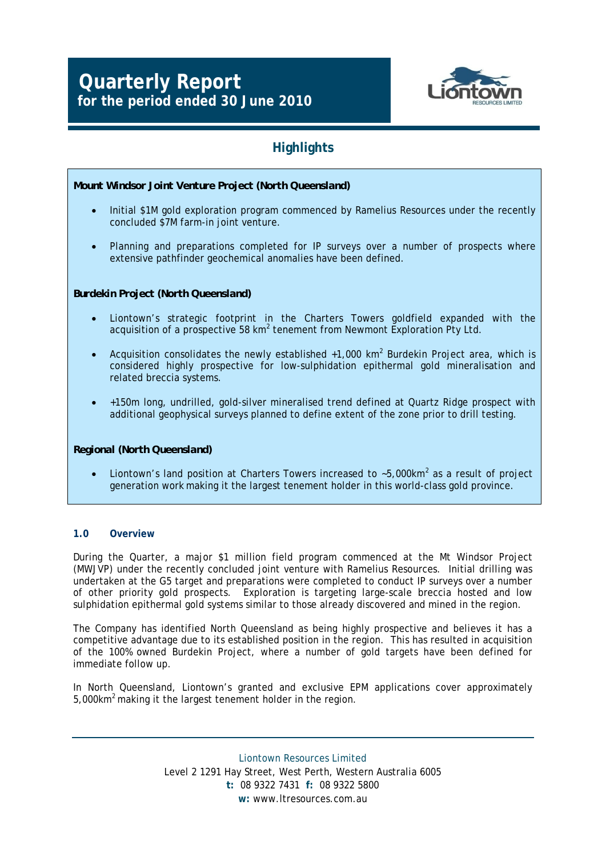# **Quarterly Report for the period ended 30 June 2010**



# **Highlights**

### *Mount Windsor Joint Venture Project (North Queensland)*

- Initial \$1M gold exploration program commenced by Ramelius Resources under the recently concluded \$7M farm-in joint venture.
- Planning and preparations completed for IP surveys over a number of prospects where extensive pathfinder geochemical anomalies have been defined.

### *Burdekin Project (North Queensland)*

- Liontown's strategic footprint in the Charters Towers goldfield expanded with the acquisition of a prospective 58  $km^2$  tenement from Newmont Exploration Pty Ltd.
- Acquisition consolidates the newly established  $+1,000$  km<sup>2</sup> Burdekin Project area, which is considered highly prospective for low-sulphidation epithermal gold mineralisation and related breccia systems.
- +150m long, undrilled, gold-silver mineralised trend defined at Quartz Ridge prospect with additional geophysical surveys planned to define extent of the zone prior to drill testing.

### *Regional (North Queensland)*

• Liontown's land position at Charters Towers increased to  $\sim$ 5,000km<sup>2</sup> as a result of project generation work making it the largest tenement holder in this world-class gold province.

### **1.0 Overview**

During the Quarter, a major \$1 million field program commenced at the Mt Windsor Project (MWJVP) under the recently concluded joint venture with Ramelius Resources. Initial drilling was undertaken at the G5 target and preparations were completed to conduct IP surveys over a number of other priority gold prospects. Exploration is targeting large-scale breccia hosted and low sulphidation epithermal gold systems similar to those already discovered and mined in the region.

The Company has identified North Queensland as being highly prospective and believes it has a competitive advantage due to its established position in the region. This has resulted in acquisition of the 100% owned Burdekin Project, where a number of gold targets have been defined for immediate follow up.

In North Queensland, Liontown's granted and exclusive EPM applications cover approximately 5,000km2 making it the largest tenement holder in the region.

> Liontown Resources Limited Level 2 1291 Hay Street, West Perth, Western Australia 6005 **t:** 08 9322 7431 **f:** 08 9322 5800 **w:** www.ltresources.com.au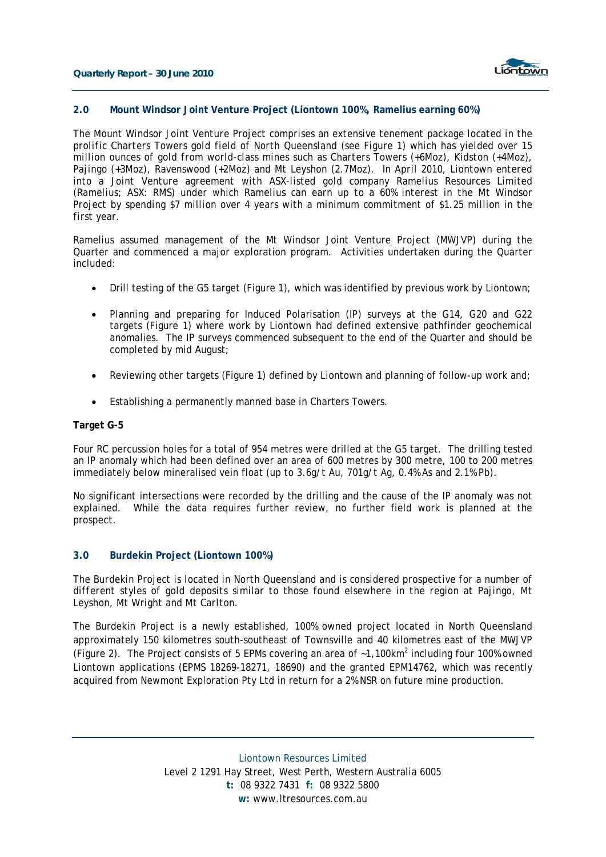

#### **2.0 Mount Windsor Joint Venture Project (Liontown 100%, Ramelius earning 60%)**

*The Mount Windsor Joint Venture Project comprises an extensive tenement package located in the prolific Charters Towers gold field of North Queensland (see Figure 1) which has yielded over 15 million ounces of gold from world-class mines such as Charters Towers (+6Moz), Kidston (+4Moz), Pajingo (+3Moz), Ravenswood (+2Moz) and Mt Leyshon (2.7Moz). In April 2010, Liontown entered into a Joint Venture agreement with ASX-listed gold company Ramelius Resources Limited (Ramelius; ASX: RMS) under which Ramelius can earn up to a 60% interest in the Mt Windsor Project by spending \$7 million over 4 years with a minimum commitment of \$1.25 million in the first year.* 

Ramelius assumed management of the Mt Windsor Joint Venture Project (MWJVP) during the Quarter and commenced a major exploration program. Activities undertaken during the Quarter included:

- Drill testing of the G5 target (Figure 1), which was identified by previous work by Liontown;
- Planning and preparing for Induced Polarisation (IP) surveys at the G14, G20 and G22 targets (Figure 1) where work by Liontown had defined extensive pathfinder geochemical anomalies. The IP surveys commenced subsequent to the end of the Quarter and should be completed by mid August;
- Reviewing other targets (Figure 1) defined by Liontown and planning of follow-up work and;
- Establishing a permanently manned base in Charters Towers.

#### **Target G-5**

Four RC percussion holes for a total of 954 metres were drilled at the G5 target. The drilling tested an IP anomaly which had been defined over an area of 600 metres by 300 metre, 100 to 200 metres immediately below mineralised vein float (up to 3.6g/t Au, 701g/t Ag, 0.4% As and 2.1% Pb).

No significant intersections were recorded by the drilling and the cause of the IP anomaly was not explained. While the data requires further review, no further field work is planned at the prospect.

#### **3.0 Burdekin Project (Liontown 100%)**

*The Burdekin Project is located in North Queensland and is considered prospective for a number of different styles of gold deposits similar to those found elsewhere in the region at Pajingo, Mt Leyshon, Mt Wright and Mt Carlton.* 

The Burdekin Project is a newly established, 100% owned project located in North Queensland approximately 150 kilometres south-southeast of Townsville and 40 kilometres east of the MWJVP (Figure 2). The Project consists of 5 EPMs covering an area of  $~1,100km^2$  including four 100% owned Liontown applications (EPMS 18269-18271, 18690) and the granted EPM14762, which was recently acquired from Newmont Exploration Pty Ltd in return for a 2% NSR on future mine production.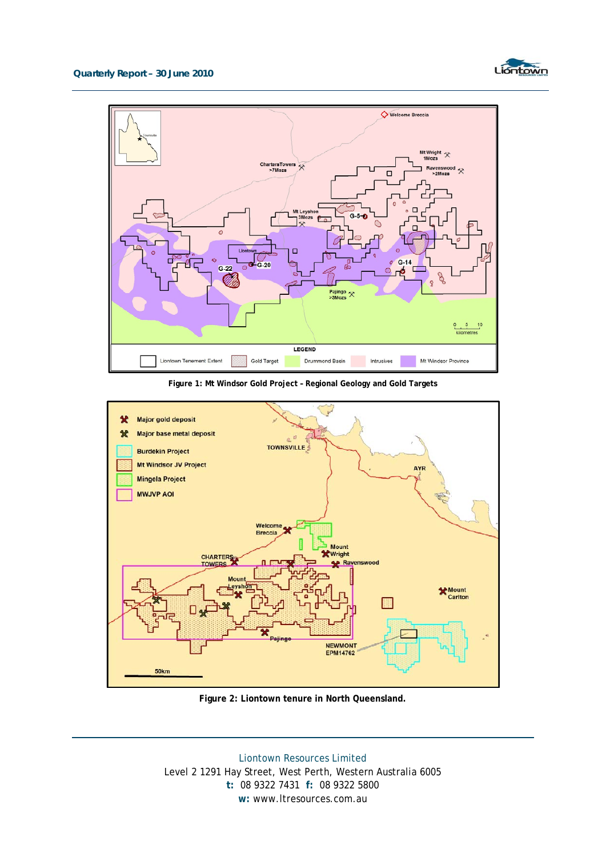



**Figure 1: Mt Windsor Gold Project – Regional Geology and Gold Targets** 



**Figure 2: Liontown tenure in North Queensland.** 

Liontown Resources Limited Level 2 1291 Hay Street, West Perth, Western Australia 6005 **t:** 08 9322 7431 **f:** 08 9322 5800 **w:** www.ltresources.com.au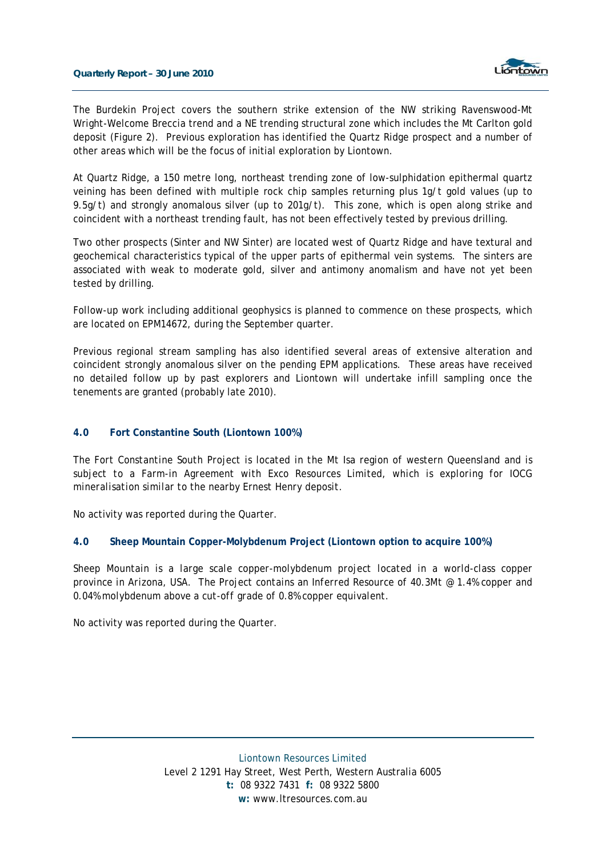

The Burdekin Project covers the southern strike extension of the NW striking Ravenswood-Mt Wright-Welcome Breccia trend and a NE trending structural zone which includes the Mt Carlton gold deposit (Figure 2). Previous exploration has identified the Quartz Ridge prospect and a number of other areas which will be the focus of initial exploration by Liontown.

At Quartz Ridge, a 150 metre long, northeast trending zone of low-sulphidation epithermal quartz veining has been defined with multiple rock chip samples returning plus 1g/t gold values (up to 9.5g/t) and strongly anomalous silver (up to 201g/t). This zone, which is open along strike and coincident with a northeast trending fault, has not been effectively tested by previous drilling.

Two other prospects (Sinter and NW Sinter) are located west of Quartz Ridge and have textural and geochemical characteristics typical of the upper parts of epithermal vein systems. The sinters are associated with weak to moderate gold, silver and antimony anomalism and have not yet been tested by drilling.

Follow-up work including additional geophysics is planned to commence on these prospects, which are located on EPM14672, during the September quarter.

Previous regional stream sampling has also identified several areas of extensive alteration and coincident strongly anomalous silver on the pending EPM applications. These areas have received no detailed follow up by past explorers and Liontown will undertake infill sampling once the tenements are granted (probably late 2010).

### **4.0 Fort Constantine South (Liontown 100%)**

*The Fort Constantine South Project is located in the Mt Isa region of western Queensland and is subject to a Farm-in Agreement with Exco Resources Limited, which is exploring for IOCG mineralisation similar to the nearby Ernest Henry deposit.* 

No activity was reported during the Quarter.

#### **4.0 Sheep Mountain Copper-Molybdenum Project (Liontown option to acquire 100%)**

*Sheep Mountain is a large scale copper-molybdenum project located in a world-class copper province in Arizona, USA. The Project contains an Inferred Resource of 40.3Mt @ 1.4% copper and 0.04% molybdenum above a cut-off grade of 0.8% copper equivalent.* 

No activity was reported during the Quarter.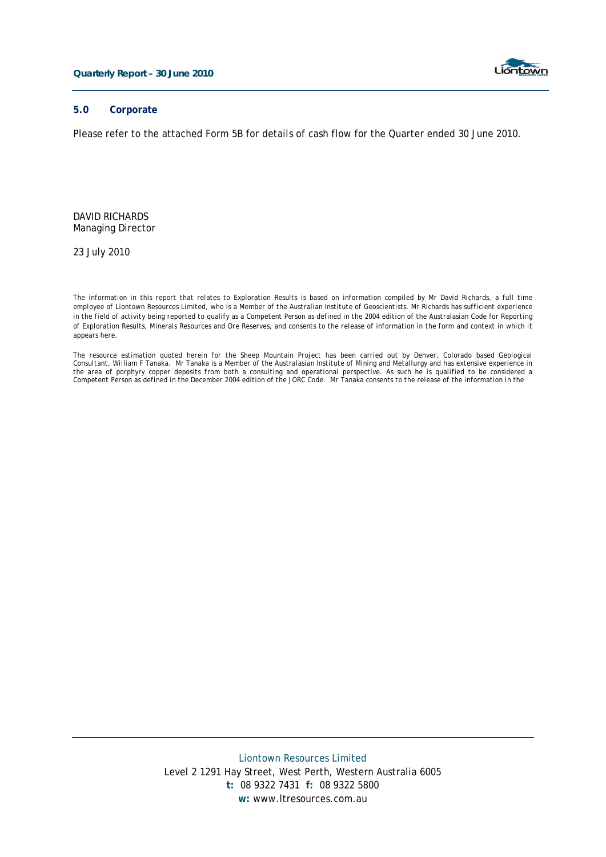

### **5.0 Corporate**

Please refer to the attached Form 5B for details of cash flow for the Quarter ended 30 June 2010.

DAVID RICHARDS Managing Director

23 July 2010

*The information in this report that relates to Exploration Results is based on information compiled by Mr David Richards, a full time employee of Liontown Resources Limited, who is a Member of the Australian Institute of Geoscientists. Mr Richards has sufficient experience in the field of activity being reported to qualify as a Competent Person as defined in the 2004 edition of the Australasian Code for Reporting of Exploration Results, Minerals Resources and Ore Reserves, and consents to the release of information in the form and context in which it appears here.* 

*The resource estimation quoted herein for the Sheep Mountain Project has been carried out by Denver, Colorado based Geological Consultant, William F Tanaka. Mr Tanaka is a Member of the Australasian Institute of Mining and Metallurgy and has extensive experience in the area of porphyry copper deposits from both a consulting and operational perspective. As such he is qualified to be considered a Competent Person as defined in the December 2004 edition of the JORC Code. Mr Tanaka consents to the release of the information in the*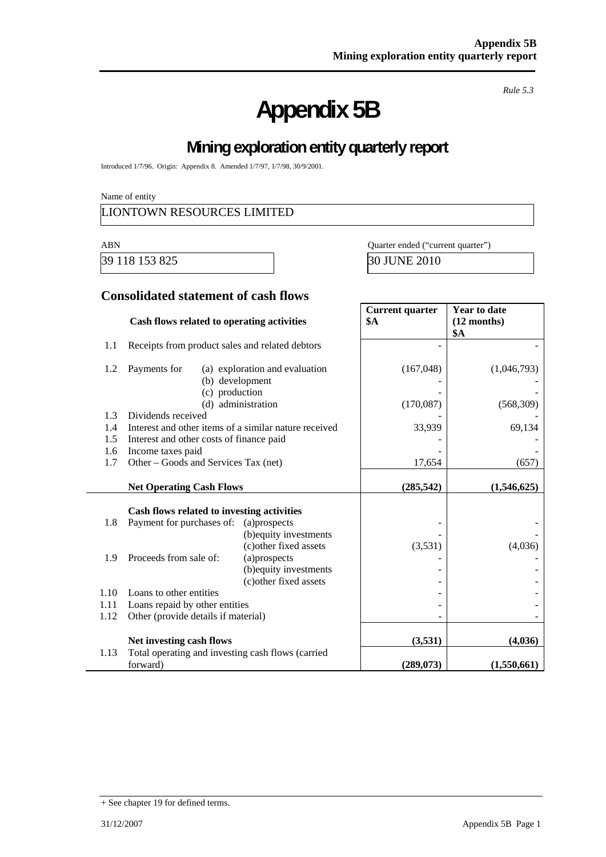# **Appendix 5B**

*Rule 5.3* 

# **Mining exploration entity quarterly report**

Introduced 1/7/96. Origin: Appendix 8. Amended 1/7/97, 1/7/98, 30/9/2001.

Name of entity

### LIONTOWN RESOURCES LIMITED

39 118 153 825 30 JUNE 2010

ABN Quarter ended ("current quarter")

### **Consolidated statement of cash flows**

|      | Cash flows related to operating activities            |                                | <b>Current quarter</b><br><b>\$A</b> | <b>Year to date</b><br>$(12$ months)<br><b>\$A</b> |
|------|-------------------------------------------------------|--------------------------------|--------------------------------------|----------------------------------------------------|
| 1.1  | Receipts from product sales and related debtors       |                                |                                      |                                                    |
| 1.2  | Payments for<br>(b) development<br>(c) production     | (a) exploration and evaluation | (167, 048)                           | (1,046,793)                                        |
|      |                                                       | (d) administration             | (170,087)                            | (568, 309)                                         |
| 1.3  | Dividends received                                    |                                |                                      |                                                    |
| 1.4  | Interest and other items of a similar nature received |                                | 33,939                               | 69,134                                             |
| 1.5  | Interest and other costs of finance paid              |                                |                                      |                                                    |
| 1.6  | Income taxes paid                                     |                                |                                      |                                                    |
| 1.7  | Other – Goods and Services Tax (net)                  |                                | 17,654                               | (657)                                              |
|      | <b>Net Operating Cash Flows</b>                       |                                | (285, 542)                           | (1,546,625)                                        |
|      | Cash flows related to investing activities            |                                |                                      |                                                    |
| 1.8  | Payment for purchases of:                             | (a)prospects                   |                                      |                                                    |
|      |                                                       | (b) equity investments         |                                      |                                                    |
|      |                                                       | (c) other fixed assets         | (3,531)                              | (4,036)                                            |
| 1.9  | Proceeds from sale of:                                | (a)prospects                   |                                      |                                                    |
|      |                                                       | (b) equity investments         |                                      |                                                    |
|      |                                                       | (c) other fixed assets         |                                      |                                                    |
| 1.10 | Loans to other entities                               |                                |                                      |                                                    |
| 1.11 | Loans repaid by other entities                        |                                |                                      |                                                    |
| 1.12 | Other (provide details if material)                   |                                |                                      |                                                    |
|      | Net investing cash flows                              |                                | (3,531)                              | (4,036)                                            |
| 1.13 | Total operating and investing cash flows (carried     |                                |                                      |                                                    |
|      | forward)                                              |                                | (289, 073)                           | (1,550,661)                                        |

<sup>+</sup> See chapter 19 for defined terms.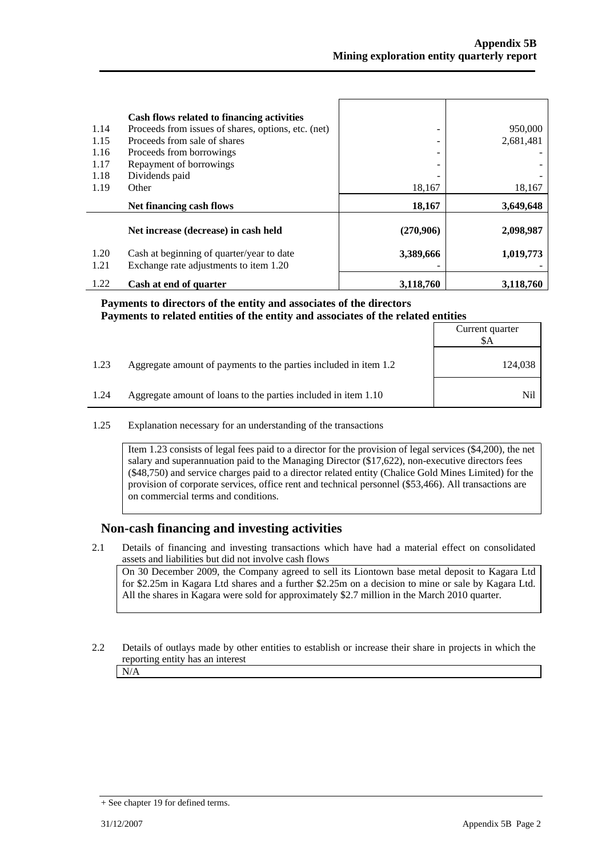| 1.14<br>1.15<br>1.16<br>1.17<br>1.18<br>1.19 | Cash flows related to financing activities<br>Proceeds from issues of shares, options, etc. (net)<br>Proceeds from sale of shares<br>Proceeds from borrowings<br>Repayment of borrowings<br>Dividends paid<br>Other | 18,167    | 950,000<br>2,681,481<br>18,167 |
|----------------------------------------------|---------------------------------------------------------------------------------------------------------------------------------------------------------------------------------------------------------------------|-----------|--------------------------------|
|                                              | Net financing cash flows                                                                                                                                                                                            | 18,167    | 3,649,648                      |
|                                              | Net increase (decrease) in cash held                                                                                                                                                                                | (270,906) | 2,098,987                      |
| 1.20<br>1.21                                 | Cash at beginning of quarter/year to date<br>Exchange rate adjustments to item 1.20                                                                                                                                 | 3,389,666 | 1,019,773                      |
| 1.22                                         | Cash at end of quarter                                                                                                                                                                                              | 3,118,760 | 3,118,760                      |

### **Payments to directors of the entity and associates of the directors Payments to related entities of the entity and associates of the related entities**

|      |                                                                  | Current quarter<br>\$A |
|------|------------------------------------------------------------------|------------------------|
| 1.23 | Aggregate amount of payments to the parties included in item 1.2 | 124,038                |
| 1.24 | Aggregate amount of loans to the parties included in item 1.10   | Nil                    |

1.25 Explanation necessary for an understanding of the transactions

Item 1.23 consists of legal fees paid to a director for the provision of legal services (\$4,200), the net salary and superannuation paid to the Managing Director (\$17,622), non-executive directors fees (\$48,750) and service charges paid to a director related entity (Chalice Gold Mines Limited) for the provision of corporate services, office rent and technical personnel (\$53,466). All transactions are on commercial terms and conditions.

### **Non-cash financing and investing activities**

2.1 Details of financing and investing transactions which have had a material effect on consolidated assets and liabilities but did not involve cash flows

 On 30 December 2009, the Company agreed to sell its Liontown base metal deposit to Kagara Ltd for \$2.25m in Kagara Ltd shares and a further \$2.25m on a decision to mine or sale by Kagara Ltd. All the shares in Kagara were sold for approximately \$2.7 million in the March 2010 quarter.

2.2 Details of outlays made by other entities to establish or increase their share in projects in which the reporting entity has an interest

N/A

<sup>+</sup> See chapter 19 for defined terms.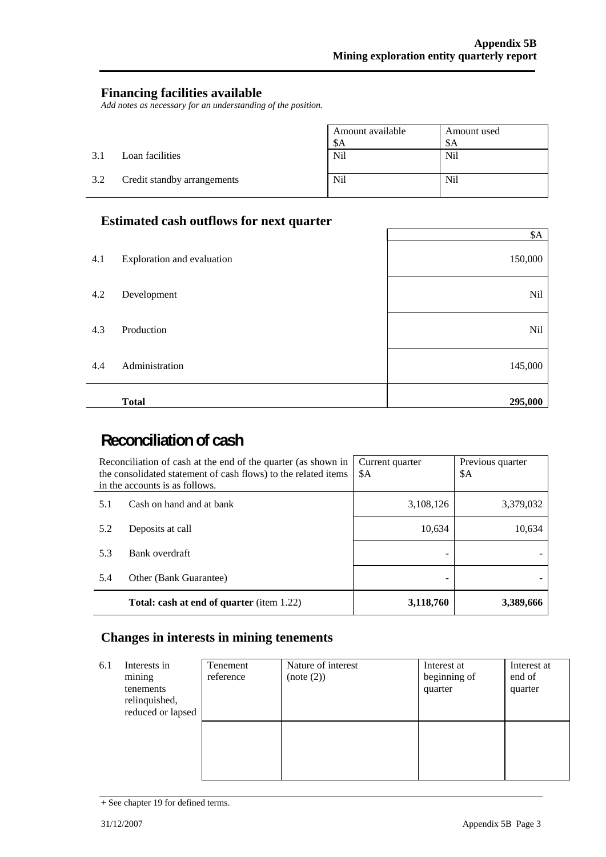### **Financing facilities available**

*Add notes as necessary for an understanding of the position.* 

|     |                             | Amount available | Amount used |
|-----|-----------------------------|------------------|-------------|
|     |                             | \$A              | \$A         |
| 3.1 | Loan facilities             | Nil              | Nil         |
| 3.2 | Credit standby arrangements | <b>Nil</b>       | Nil         |

### **Estimated cash outflows for next quarter**

|     |                            | \$A     |
|-----|----------------------------|---------|
| 4.1 | Exploration and evaluation | 150,000 |
| 4.2 | Development                | Nil     |
| 4.3 | Production                 | Nil     |
| 4.4 | Administration             | 145,000 |
|     | <b>Total</b>               | 295,000 |

# **Reconciliation of cash**

|     | Reconciliation of cash at the end of the quarter (as shown in<br>the consolidated statement of cash flows) to the related items<br>in the accounts is as follows. | Current quarter<br>\$A | Previous quarter<br>\$A |
|-----|-------------------------------------------------------------------------------------------------------------------------------------------------------------------|------------------------|-------------------------|
| 5.1 | Cash on hand and at bank                                                                                                                                          | 3,108,126              | 3,379,032               |
| 5.2 | Deposits at call                                                                                                                                                  | 10,634                 | 10,634                  |
| 5.3 | Bank overdraft                                                                                                                                                    |                        |                         |
| 5.4 | Other (Bank Guarantee)                                                                                                                                            |                        |                         |
|     | <b>Total: cash at end of quarter</b> (item 1.22)                                                                                                                  | 3,118,760              | 3,389,666               |

### **Changes in interests in mining tenements**

| 6.1 | Interests in<br>mining<br>tenements<br>relinquished,<br>reduced or lapsed | Tenement<br>reference | Nature of interest<br>(note (2)) | Interest at<br>beginning of<br>quarter | Interest at<br>end of<br>quarter |
|-----|---------------------------------------------------------------------------|-----------------------|----------------------------------|----------------------------------------|----------------------------------|
|     |                                                                           |                       |                                  |                                        |                                  |

<sup>+</sup> See chapter 19 for defined terms.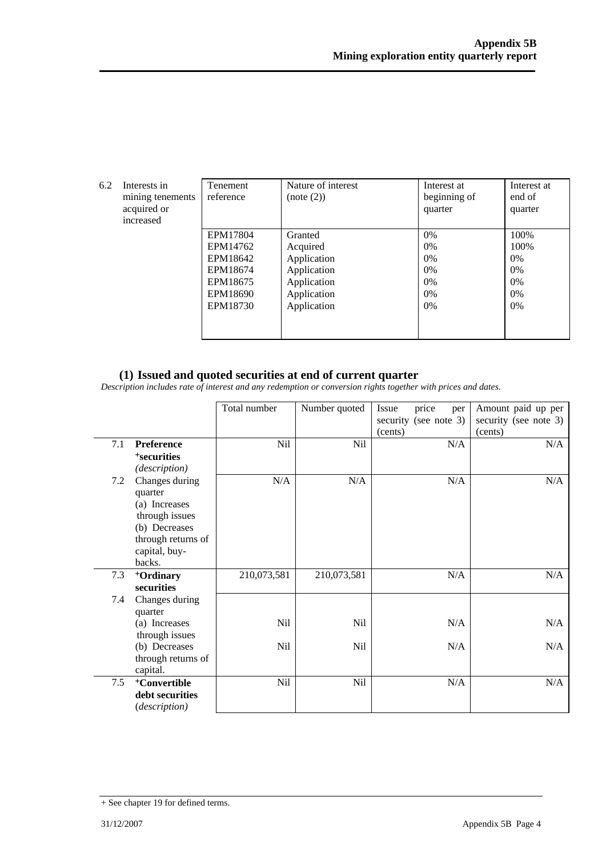| 6.2 | Interests in<br>mining tenements<br>acquired or<br>increased | Tenement<br>reference                                                            | Nature of interest<br>(note (2))                                                               | Interest at<br>beginning of<br>quarter       | Interest at<br>end of<br>quarter                          |
|-----|--------------------------------------------------------------|----------------------------------------------------------------------------------|------------------------------------------------------------------------------------------------|----------------------------------------------|-----------------------------------------------------------|
|     |                                                              | EPM17804<br>EPM14762<br>EPM18642<br>EPM18674<br>EPM18675<br>EPM18690<br>EPM18730 | Granted<br>Acquired<br>Application<br>Application<br>Application<br>Application<br>Application | 0%<br>$0\%$<br>0%<br>0%<br>$0\%$<br>0%<br>0% | 100%<br>100%<br>$0\%$<br>$0\%$<br>$0\%$<br>$0\%$<br>$0\%$ |

### **(1) Issued and quoted securities at end of current quarter**

*Description includes rate of interest and any redemption or conversion rights together with prices and dates.* 

|     |                                                                                                                                | Total number      | Number quoted | Issue<br>price<br>per<br>security (see note 3)<br>(cents) | Amount paid up per<br>security (see note 3)<br>(cents) |
|-----|--------------------------------------------------------------------------------------------------------------------------------|-------------------|---------------|-----------------------------------------------------------|--------------------------------------------------------|
| 7.1 | <b>Preference</b><br><sup>+</sup> securities<br>(description)                                                                  | Nil               | Nil           | N/A                                                       | N/A                                                    |
| 7.2 | Changes during<br>quarter<br>(a) Increases<br>through issues<br>(b) Decreases<br>through returns of<br>capital, buy-<br>backs. | N/A               | N/A           | N/A                                                       | N/A                                                    |
| 7.3 | <sup>+</sup> Ordinary<br>securities                                                                                            | 210,073,581       | 210,073,581   | N/A                                                       | N/A                                                    |
| 7.4 | Changes during<br>quarter<br>(a) Increases<br>through issues<br>(b) Decreases<br>through returns of<br>capital.                | Nil<br><b>Nil</b> | Nil<br>Nil    | N/A<br>N/A                                                | N/A<br>N/A                                             |
| 7.5 | <sup>+</sup> Convertible<br>debt securities<br>(description)                                                                   | Nil               | Nil           | N/A                                                       | N/A                                                    |

<sup>+</sup> See chapter 19 for defined terms.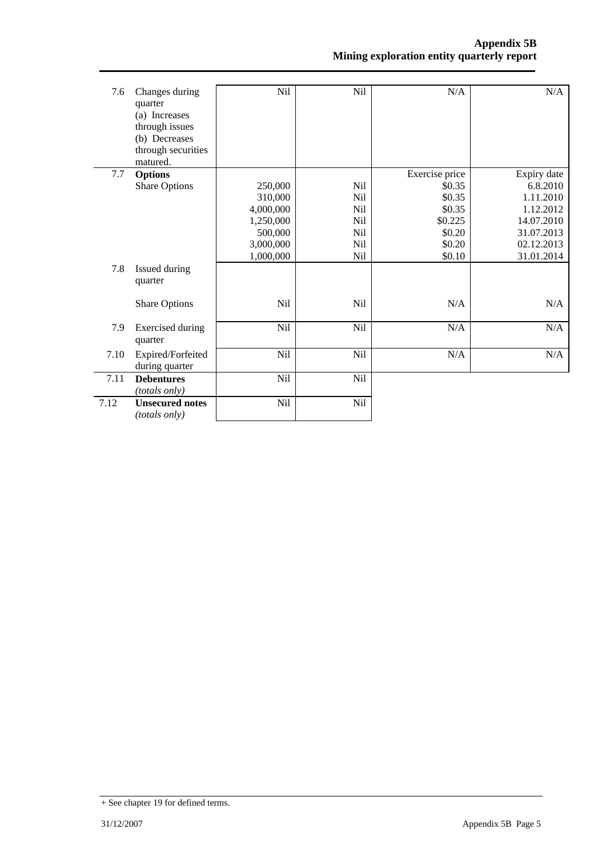| 7.6  | Changes during<br>quarter<br>(a) Increases<br>through issues<br>(b) Decreases<br>through securities<br>matured. | Nil                                                                               | Nil                                                                                 | N/A                                                                                   | N/A                                                                                                       |
|------|-----------------------------------------------------------------------------------------------------------------|-----------------------------------------------------------------------------------|-------------------------------------------------------------------------------------|---------------------------------------------------------------------------------------|-----------------------------------------------------------------------------------------------------------|
| 7.7  | <b>Options</b><br><b>Share Options</b>                                                                          | 250,000<br>310,000<br>4,000,000<br>1,250,000<br>500,000<br>3,000,000<br>1,000,000 | <b>Nil</b><br>Nil<br>N <sub>il</sub><br><b>Nil</b><br>N <sub>il</sub><br>Nil<br>Nil | Exercise price<br>\$0.35<br>\$0.35<br>\$0.35<br>\$0.225<br>\$0.20<br>\$0.20<br>\$0.10 | Expiry date<br>6.8.2010<br>1.11.2010<br>1.12.2012<br>14.07.2010<br>31.07.2013<br>02.12.2013<br>31.01.2014 |
| 7.8  | Issued during<br>quarter<br><b>Share Options</b>                                                                | <b>Nil</b>                                                                        | <b>Nil</b>                                                                          | N/A                                                                                   | N/A                                                                                                       |
| 7.9  | <b>Exercised during</b><br>quarter                                                                              | Nil                                                                               | <b>Nil</b>                                                                          | N/A                                                                                   | N/A                                                                                                       |
| 7.10 | Expired/Forfeited<br>during quarter                                                                             | Nil                                                                               | Nil                                                                                 | N/A                                                                                   | N/A                                                                                                       |
| 7.11 | <b>Debentures</b><br>(totals only)                                                                              | Nil                                                                               | Nil                                                                                 |                                                                                       |                                                                                                           |
| 7.12 | <b>Unsecured notes</b><br><i>(totals only)</i>                                                                  | Nil                                                                               | Nil                                                                                 |                                                                                       |                                                                                                           |

<sup>+</sup> See chapter 19 for defined terms.